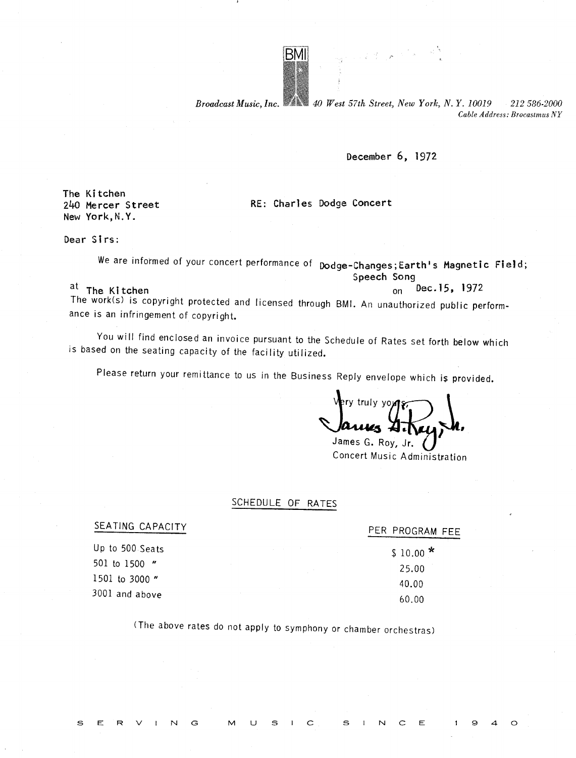

Broadcast Music, Inc.  $40$  West 57th Street, New York, N.Y. 10019 212 586-2000 Cable Address: Brocastmus NY

generations

December 6, 1972

The Kitchen 240 Mercer Street New York, N.Y.

RE: Charles Dodge Concert

Dear Sirs:

We are informed of your concert performance of podge-Changes; Earth's Magnetic Field; Speech Song<br> $\frac{5}{10}$  Dec. 15, 1972

 $\frac{a_1}{b_1}$  The Kitchen on Dec-15, 1972

The work(s) is copyright protected and licensed through BMI . An unauthorized public performance is an infringement of copyright.

You will find enclosed an invoice pursuant to the Schedule of Rates set forth below which is based on the seating capacity of the facility utilized.

Please return your remittance to us in the Business Reply envelope which is provided.

ry truly you

James G. Roy, Jr. Concert Music Administration

## SCHEDULE OF RATES

SEATING CAPACITY PER PROGRAM FEE Up to 500 Seats  $$10.00$  \* 25 .00 40 .00

501 to 1500 " 1501 to 3000 "  $3001$  and above 60.00

S

 $E$ 

(The above rates do not apply to symphony or chamber orchestras)

 $\mathbf{s}$ 

 $\subset$ 

S

U

G

M

Ε

 $\circ$